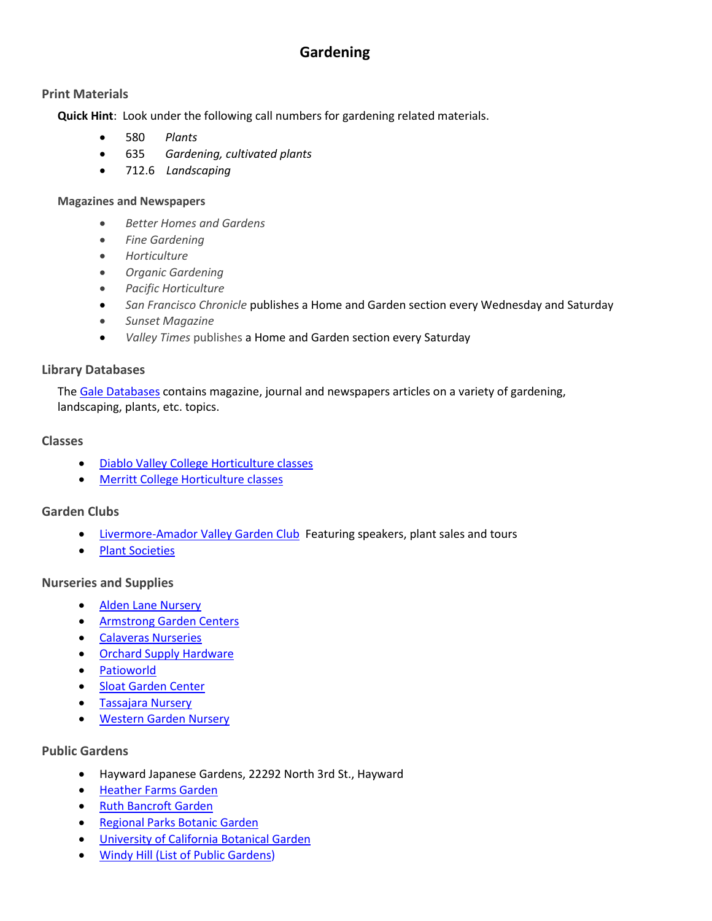# **Gardening**

## **Print Materials**

**Quick Hint**: Look under the following call numbers for gardening related materials.

- [580](http://millennium.ci.pleasanton.ca.us/search/c?SEARCH=580) *Plants*
- [635](http://millennium.ci.pleasanton.ca.us/search/c?SEARCH=635) *Gardening, cultivated plants*
- [712.6](http://millennium.ci.pleasanton.ca.us/search/c?SEARCH=712.6) *Landscaping*

#### **Magazines and Newspapers**

- *Better Homes and Gardens*
- *Fine Gardening*
- *Horticulture*
- *Organic Gardening*
- *Pacific Horticulture*
- *San Francisco Chronicle* publishes a Home and Garden section every Wednesday and Saturday
- *Sunset Magazine*
- *Valley Times* publishes a Home and Garden section every Saturday

## **Library Databases**

Th[e Gale Databases](http://infotrac.galegroup.com/itweb/ppl) contains magazine, journal and newspapers articles on a variety of gardening, landscaping, plants, etc. topics.

## **Classes**

- [Diablo Valley College Horticulture classes](http://www.dvc.edu/academics/bhsd/biology/horticulture/index.html)
- **Merritt College Horticulture classes**

## **Garden Clubs**

- [Livermore-Amador Valley Garden Club](http://www.lavgc.org/) Featuring speakers, plant sales and tours
- [Plant Societies](http://www.gamblegarden.org/resources/societies.html)

## **Nurseries and Supplies**

- [Alden Lane Nursery](http://www.aldenlane.com/)
- [Armstrong Garden Centers](http://www.armstronggarden.com/)
- [Calaveras Nurseries](http://www.calaverasnurseries.com/)
- [Orchard Supply Hardware](http://www.osh.com/)
- [Patioworld](http://www.patioworld.net/)
- **[Sloat Garden Center](http://www.sloatgardens.com/)**
- [Tassajara Nursery](http://www.tassajaranursery.com/)
- [Western Garden Nursery](http://www.westerngardennursery.com/)

## **Public Gardens**

- Hayward Japanese Gardens, 22292 North 3rd St., Hayward
- [Heather Farms Garden](http://www.gardenshf.org/)
- [Ruth Bancroft Garden](http://www.ruthbancroftgarden.org/)
- [Regional Parks Botanic Garden](http://www.nativeplants.org/)
- [University of California Botanical Garden](http://botanicalgarden.berkeley.edu/)
- [Windy Hill \(List of Public Gardens\)](http://www.windyhillpublications.com/gardens-sub.htm)